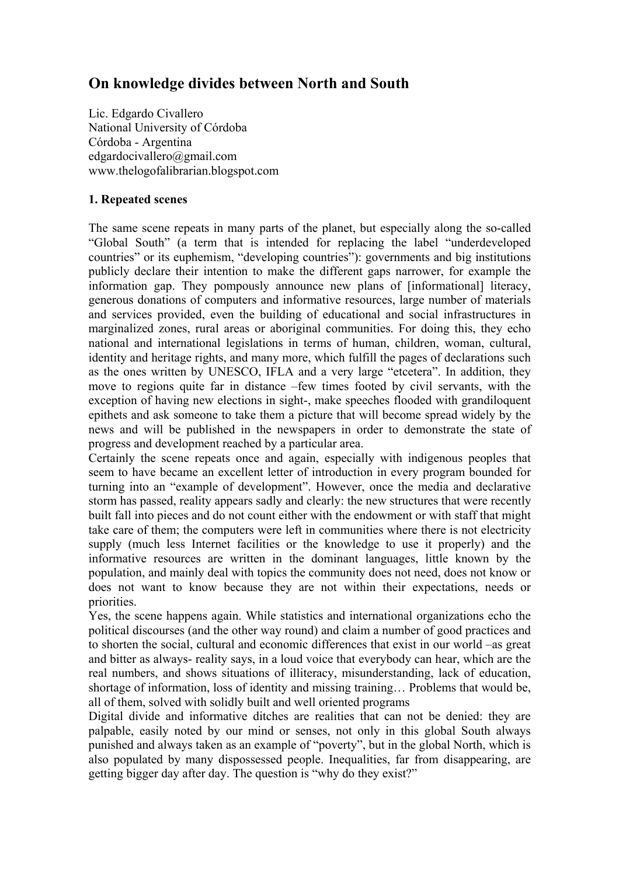# **On knowledge divides between North and South**

Lic. Edgardo Civallero National University of Córdoba Córdoba - Argentina edgardocivallero@gmail.com www.thelogofalibrarian.blogspot.com

## **1. Repeated scenes**

The same scene repeats in many parts of the planet, but especially along the so-called "Global South" (a term that is intended for replacing the label "underdeveloped countries" or its euphemism, "developing countries"): governments and big institutions publicly declare their intention to make the different gaps narrower, for example the information gap. They pompously announce new plans of [informational] literacy, generous donations of computers and informative resources, large number of materials and services provided, even the building of educational and social infrastructures in marginalized zones, rural areas or aboriginal communities. For doing this, they echo national and international legislations in terms of human, children, woman, cultural, identity and heritage rights, and many more, which fulfill the pages of declarations such as the ones written by UNESCO, IFLA and a very large "etcetera". In addition, they move to regions quite far in distance –few times footed by civil servants, with the exception of having new elections in sight-, make speeches flooded with grandiloquent epithets and ask someone to take them a picture that will become spread widely by the news and will be published in the newspapers in order to demonstrate the state of progress and development reached by a particular area.

Certainly the scene repeats once and again, especially with indigenous peoples that seem to have became an excellent letter of introduction in every program bounded for turning into an "example of development". However, once the media and declarative storm has passed, reality appears sadly and clearly: the new structures that were recently built fall into pieces and do not count either with the endowment or with staff that might take care of them; the computers were left in communities where there is not electricity supply (much less Internet facilities or the knowledge to use it properly) and the informative resources are written in the dominant languages, little known by the population, and mainly deal with topics the community does not need, does not know or does not want to know because they are not within their expectations, needs or priorities.

Yes, the scene happens again. While statistics and international organizations echo the political discourses (and the other way round) and claim a number of good practices and to shorten the social, cultural and economic differences that exist in our world –as great and bitter as always- reality says, in a loud voice that everybody can hear, which are the real numbers, and shows situations of illiteracy, misunderstanding, lack of education, shortage of information, loss of identity and missing training… Problems that would be, all of them, solved with solidly built and well oriented programs

Digital divide and informative ditches are realities that can not be denied: they are palpable, easily noted by our mind or senses, not only in this global South always punished and always taken as an example of "poverty", but in the global North, which is also populated by many dispossessed people. Inequalities, far from disappearing, are getting bigger day after day. The question is "why do they exist?"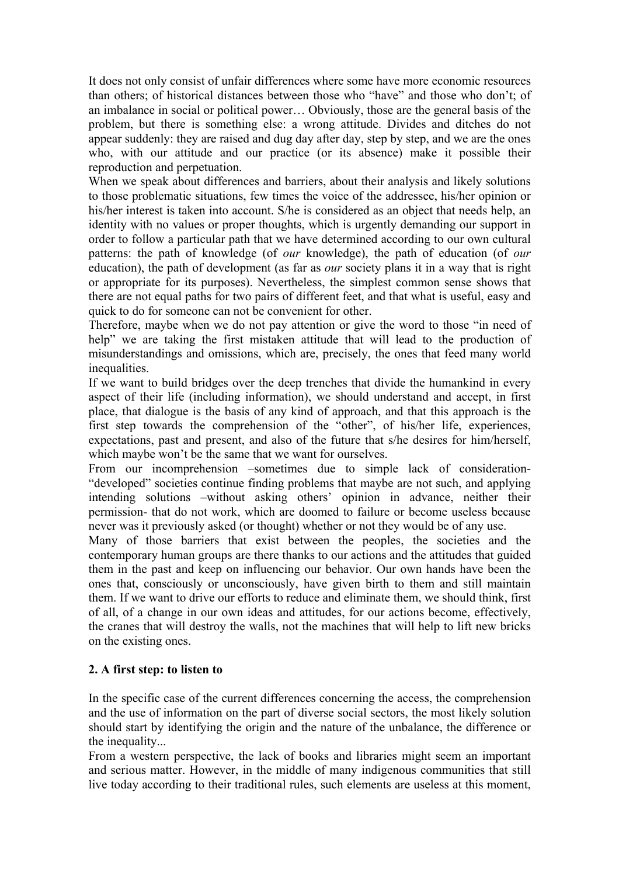It does not only consist of unfair differences where some have more economic resources than others; of historical distances between those who "have" and those who don't; of an imbalance in social or political power… Obviously, those are the general basis of the problem, but there is something else: a wrong attitude. Divides and ditches do not appear suddenly: they are raised and dug day after day, step by step, and we are the ones who, with our attitude and our practice (or its absence) make it possible their reproduction and perpetuation.

When we speak about differences and barriers, about their analysis and likely solutions to those problematic situations, few times the voice of the addressee, his/her opinion or his/her interest is taken into account. S/he is considered as an object that needs help, an identity with no values or proper thoughts, which is urgently demanding our support in order to follow a particular path that we have determined according to our own cultural patterns: the path of knowledge (of *our* knowledge), the path of education (of *our* education), the path of development (as far as *our* society plans it in a way that is right or appropriate for its purposes). Nevertheless, the simplest common sense shows that there are not equal paths for two pairs of different feet, and that what is useful, easy and quick to do for someone can not be convenient for other.

Therefore, maybe when we do not pay attention or give the word to those "in need of help" we are taking the first mistaken attitude that will lead to the production of misunderstandings and omissions, which are, precisely, the ones that feed many world *inequalities* 

If we want to build bridges over the deep trenches that divide the humankind in every aspect of their life (including information), we should understand and accept, in first place, that dialogue is the basis of any kind of approach, and that this approach is the first step towards the comprehension of the "other", of his/her life, experiences, expectations, past and present, and also of the future that s/he desires for him/herself, which maybe won't be the same that we want for ourselves.

From our incomprehension –sometimes due to simple lack of consideration- "developed" societies continue finding problems that maybe are not such, and applying intending solutions –without asking others' opinion in advance, neither their permission- that do not work, which are doomed to failure or become useless because never was it previously asked (or thought) whether or not they would be of any use.

Many of those barriers that exist between the peoples, the societies and the contemporary human groups are there thanks to our actions and the attitudes that guided them in the past and keep on influencing our behavior. Our own hands have been the ones that, consciously or unconsciously, have given birth to them and still maintain them. If we want to drive our efforts to reduce and eliminate them, we should think, first of all, of a change in our own ideas and attitudes, for our actions become, effectively, the cranes that will destroy the walls, not the machines that will help to lift new bricks on the existing ones.

## **2. A first step: to listen to**

In the specific case of the current differences concerning the access, the comprehension and the use of information on the part of diverse social sectors, the most likely solution should start by identifying the origin and the nature of the unbalance, the difference or the inequality...

From a western perspective, the lack of books and libraries might seem an important and serious matter. However, in the middle of many indigenous communities that still live today according to their traditional rules, such elements are useless at this moment,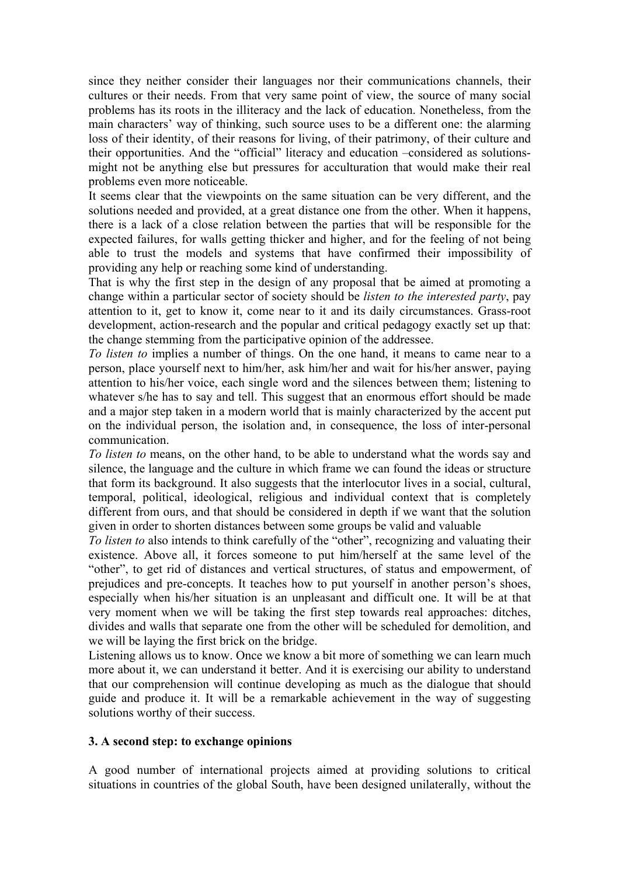since they neither consider their languages nor their communications channels, their cultures or their needs. From that very same point of view, the source of many social problems has its roots in the illiteracy and the lack of education. Nonetheless, from the main characters' way of thinking, such source uses to be a different one: the alarming loss of their identity, of their reasons for living, of their patrimony, of their culture and their opportunities. And the "official" literacy and education –considered as solutionsmight not be anything else but pressures for acculturation that would make their real problems even more noticeable.

It seems clear that the viewpoints on the same situation can be very different, and the solutions needed and provided, at a great distance one from the other. When it happens, there is a lack of a close relation between the parties that will be responsible for the expected failures, for walls getting thicker and higher, and for the feeling of not being able to trust the models and systems that have confirmed their impossibility of providing any help or reaching some kind of understanding.

That is why the first step in the design of any proposal that be aimed at promoting a change within a particular sector of society should be *listen to the interested party*, pay attention to it, get to know it, come near to it and its daily circumstances. Grass-root development, action-research and the popular and critical pedagogy exactly set up that: the change stemming from the participative opinion of the addressee.

*To listen to* implies a number of things. On the one hand, it means to came near to a person, place yourself next to him/her, ask him/her and wait for his/her answer, paying attention to his/her voice, each single word and the silences between them; listening to whatever s/he has to say and tell. This suggest that an enormous effort should be made and a major step taken in a modern world that is mainly characterized by the accent put on the individual person, the isolation and, in consequence, the loss of inter-personal communication.

*To listen to* means, on the other hand, to be able to understand what the words say and silence, the language and the culture in which frame we can found the ideas or structure that form its background. It also suggests that the interlocutor lives in a social, cultural, temporal, political, ideological, religious and individual context that is completely different from ours, and that should be considered in depth if we want that the solution given in order to shorten distances between some groups be valid and valuable

*To listen to* also intends to think carefully of the "other", recognizing and valuating their existence. Above all, it forces someone to put him/herself at the same level of the "other", to get rid of distances and vertical structures, of status and empowerment, of prejudices and pre-concepts. It teaches how to put yourself in another person's shoes, especially when his/her situation is an unpleasant and difficult one. It will be at that very moment when we will be taking the first step towards real approaches: ditches, divides and walls that separate one from the other will be scheduled for demolition, and we will be laying the first brick on the bridge.

Listening allows us to know. Once we know a bit more of something we can learn much more about it, we can understand it better. And it is exercising our ability to understand that our comprehension will continue developing as much as the dialogue that should guide and produce it. It will be a remarkable achievement in the way of suggesting solutions worthy of their success.

#### **3. A second step: to exchange opinions**

A good number of international projects aimed at providing solutions to critical situations in countries of the global South, have been designed unilaterally, without the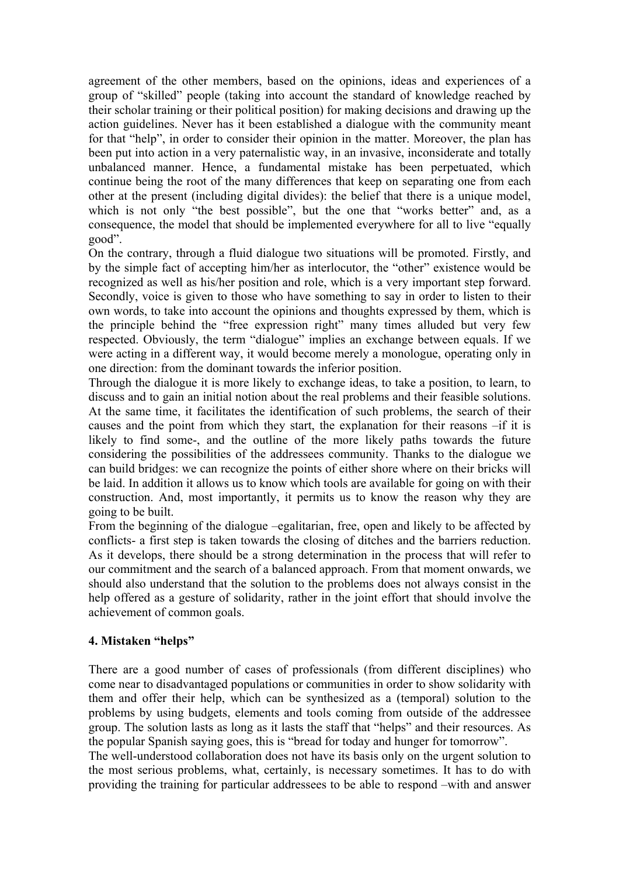agreement of the other members, based on the opinions, ideas and experiences of a group of "skilled" people (taking into account the standard of knowledge reached by their scholar training or their political position) for making decisions and drawing up the action guidelines. Never has it been established a dialogue with the community meant for that "help", in order to consider their opinion in the matter. Moreover, the plan has been put into action in a very paternalistic way, in an invasive, inconsiderate and totally unbalanced manner. Hence, a fundamental mistake has been perpetuated, which continue being the root of the many differences that keep on separating one from each other at the present (including digital divides): the belief that there is a unique model, which is not only "the best possible", but the one that "works better" and, as a consequence, the model that should be implemented everywhere for all to live "equally good".

On the contrary, through a fluid dialogue two situations will be promoted. Firstly, and by the simple fact of accepting him/her as interlocutor, the "other" existence would be recognized as well as his/her position and role, which is a very important step forward. Secondly, voice is given to those who have something to say in order to listen to their own words, to take into account the opinions and thoughts expressed by them, which is the principle behind the "free expression right" many times alluded but very few respected. Obviously, the term "dialogue" implies an exchange between equals. If we were acting in a different way, it would become merely a monologue, operating only in one direction: from the dominant towards the inferior position.

Through the dialogue it is more likely to exchange ideas, to take a position, to learn, to discuss and to gain an initial notion about the real problems and their feasible solutions. At the same time, it facilitates the identification of such problems, the search of their causes and the point from which they start, the explanation for their reasons –if it is likely to find some-, and the outline of the more likely paths towards the future considering the possibilities of the addressees community. Thanks to the dialogue we can build bridges: we can recognize the points of either shore where on their bricks will be laid. In addition it allows us to know which tools are available for going on with their construction. And, most importantly, it permits us to know the reason why they are going to be built.

From the beginning of the dialogue –egalitarian, free, open and likely to be affected by conflicts- a first step is taken towards the closing of ditches and the barriers reduction. As it develops, there should be a strong determination in the process that will refer to our commitment and the search of a balanced approach. From that moment onwards, we should also understand that the solution to the problems does not always consist in the help offered as a gesture of solidarity, rather in the joint effort that should involve the achievement of common goals.

## **4. Mistaken "helps"**

There are a good number of cases of professionals (from different disciplines) who come near to disadvantaged populations or communities in order to show solidarity with them and offer their help, which can be synthesized as a (temporal) solution to the problems by using budgets, elements and tools coming from outside of the addressee group. The solution lasts as long as it lasts the staff that "helps" and their resources. As the popular Spanish saying goes, this is "bread for today and hunger for tomorrow".

The well-understood collaboration does not have its basis only on the urgent solution to the most serious problems, what, certainly, is necessary sometimes. It has to do with providing the training for particular addressees to be able to respond –with and answer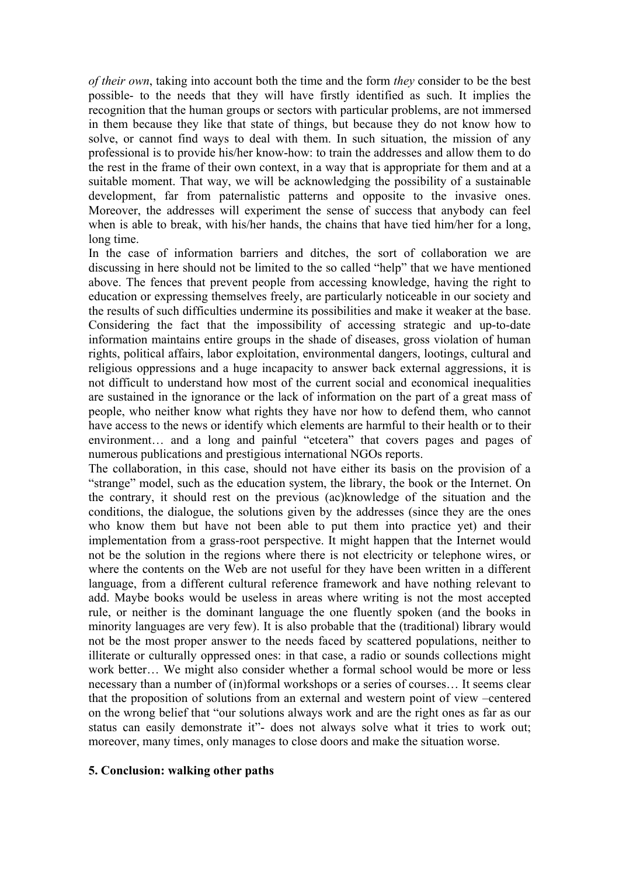*of their own*, taking into account both the time and the form *they* consider to be the best possible- to the needs that they will have firstly identified as such. It implies the recognition that the human groups or sectors with particular problems, are not immersed in them because they like that state of things, but because they do not know how to solve, or cannot find ways to deal with them. In such situation, the mission of any professional is to provide his/her know-how: to train the addresses and allow them to do the rest in the frame of their own context, in a way that is appropriate for them and at a suitable moment. That way, we will be acknowledging the possibility of a sustainable development, far from paternalistic patterns and opposite to the invasive ones. Moreover, the addresses will experiment the sense of success that anybody can feel when is able to break, with his/her hands, the chains that have tied him/her for a long. long time.

In the case of information barriers and ditches, the sort of collaboration we are discussing in here should not be limited to the so called "help" that we have mentioned above. The fences that prevent people from accessing knowledge, having the right to education or expressing themselves freely, are particularly noticeable in our society and the results of such difficulties undermine its possibilities and make it weaker at the base. Considering the fact that the impossibility of accessing strategic and up-to-date information maintains entire groups in the shade of diseases, gross violation of human rights, political affairs, labor exploitation, environmental dangers, lootings, cultural and religious oppressions and a huge incapacity to answer back external aggressions, it is not difficult to understand how most of the current social and economical inequalities are sustained in the ignorance or the lack of information on the part of a great mass of people, who neither know what rights they have nor how to defend them, who cannot have access to the news or identify which elements are harmful to their health or to their environment… and a long and painful "etcetera" that covers pages and pages of numerous publications and prestigious international NGOs reports.

The collaboration, in this case, should not have either its basis on the provision of a "strange" model, such as the education system, the library, the book or the Internet. On the contrary, it should rest on the previous (ac)knowledge of the situation and the conditions, the dialogue, the solutions given by the addresses (since they are the ones who know them but have not been able to put them into practice yet) and their implementation from a grass-root perspective. It might happen that the Internet would not be the solution in the regions where there is not electricity or telephone wires, or where the contents on the Web are not useful for they have been written in a different language, from a different cultural reference framework and have nothing relevant to add. Maybe books would be useless in areas where writing is not the most accepted rule, or neither is the dominant language the one fluently spoken (and the books in minority languages are very few). It is also probable that the (traditional) library would not be the most proper answer to the needs faced by scattered populations, neither to illiterate or culturally oppressed ones: in that case, a radio or sounds collections might work better... We might also consider whether a formal school would be more or less necessary than a number of (in)formal workshops or a series of courses… It seems clear that the proposition of solutions from an external and western point of view –centered on the wrong belief that "our solutions always work and are the right ones as far as our status can easily demonstrate it"- does not always solve what it tries to work out; moreover, many times, only manages to close doors and make the situation worse.

#### **5. Conclusion: walking other paths**